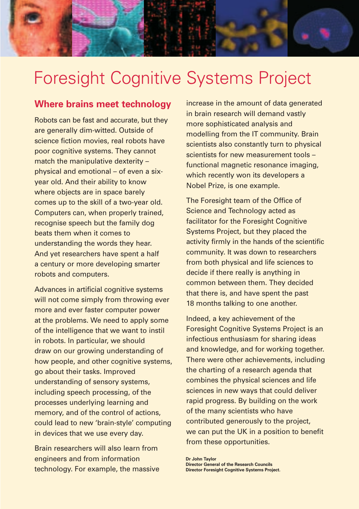

# Foresight Cognitive Systems Project

#### **Where brains meet technology**

Robots can be fast and accurate, but they are generally dim-witted. Outside of science fiction movies, real robots have poor cognitive systems. They cannot match the manipulative dexterity – physical and emotional – of even a sixyear old. And their ability to know where objects are in space barely comes up to the skill of a two-year old. Computers can, when properly trained, recognise speech but the family dog beats them when it comes to understanding the words they hear. And yet researchers have spent a half a century or more developing smarter robots and computers.

Advances in artificial cognitive systems will not come simply from throwing ever more and ever faster computer power at the problems. We need to apply some of the intelligence that we want to instil in robots. In particular, we should draw on our growing understanding of how people, and other cognitive systems, go about their tasks. Improved understanding of sensory systems, including speech processing, of the processes underlying learning and memory, and of the control of actions, could lead to new 'brain-style' computing in devices that we use every day.

Brain researchers will also learn from engineers and from information technology. For example, the massive increase in the amount of data generated in brain research will demand vastly more sophisticated analysis and modelling from the IT community. Brain scientists also constantly turn to physical scientists for new measurement tools – functional magnetic resonance imaging, which recently won its developers a Nobel Prize, is one example.

The Foresight team of the Office of Science and Technology acted as facilitator for the Foresight Cognitive Systems Project, but they placed the activity firmly in the hands of the scientific community. It was down to researchers from both physical and life sciences to decide if there really is anything in common between them. They decided that there is, and have spent the past 18 months talking to one another.

Indeed, a key achievement of the Foresight Cognitive Systems Project is an infectious enthusiasm for sharing ideas and knowledge, and for working together. There were other achievements, including the charting of a research agenda that combines the physical sciences and life sciences in new ways that could deliver rapid progress. By building on the work of the many scientists who have contributed generously to the project, we can put the UK in a position to benefit from these opportunities.

**Dr John Taylor Director General of the Research Councils Director Foresight Cognitive Systems Project.**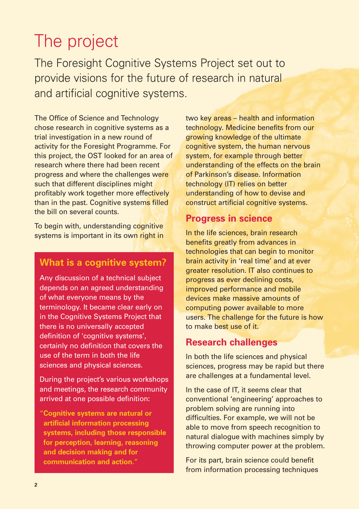## The project

The Foresight Cognitive Systems Project set out to provide visions for the future of research in natural and artificial cognitive systems.

The Office of Science and Technology chose research in cognitive systems as a trial investigation in a new round of activity for the Foresight Programme. For this project, the OST looked for an area of research where there had been recent progress and where the challenges were such that different disciplines might profitably work together more effectively than in the past. Cognitive systems filled the bill on several counts.

To begin with, understanding cognitive systems is important in its own right in

#### **What is a cognitive system?**

Any discussion of a technical subject depends on an agreed understanding of what everyone means by the terminology. It became clear early on in the Cognitive Systems Project that there is no universally accepted definition of 'cognitive systems', certainly no definition that covers the use of the term in both the life sciences and physical sciences.

During the project's various workshops and meetings, the research community arrived at one possible definition:

"**Cognitive systems are natural or artificial information processing systems, including those responsible for perception, learning, reasoning and decision making and for communication and action.**"

two key areas – health and information technology. Medicine benefits from our growing knowledge of the ultimate cognitive system, the human nervous system, for example through better understanding of the effects on the brain of Parkinson's disease. Information technology (IT) relies on better understanding of how to devise and construct artificial cognitive systems.

#### **Progress in science**

In the life sciences, brain research benefits greatly from advances in technologies that can begin to monitor brain activity in 'real time' and at ever greater resolution. IT also continues to progress as ever declining costs, improved performance and mobile devices make massive amounts of computing power available to more users. The challenge for the future is how to make best use of it.

#### **Research challenges**

In both the life sciences and physical sciences, progress may be rapid but there are challenges at a fundamental level.

In the case of IT, it seems clear that conventional 'engineering' approaches to problem solving are running into difficulties. For example, we will not be able to move from speech recognition to natural dialogue with machines simply by throwing computer power at the problem.

For its part, brain science could benefit from information processing techniques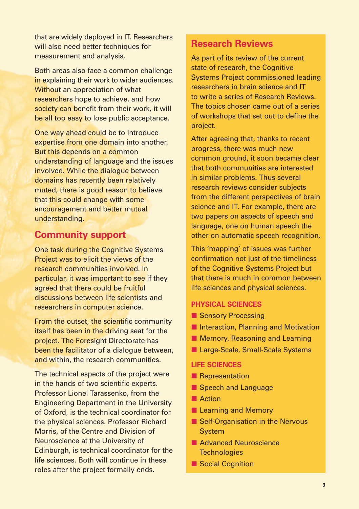that are widely deployed in IT. Researchers will also need better techniques for measurement and analysis.

Both areas also face a common challenge in explaining their work to wider audiences. Without an appreciation of what researchers hope to achieve, and how society can benefit from their work, it will be all too easy to lose public acceptance.

One way ahead could be to introduce expertise from one domain into another. But this depends on a common understanding of language and the issues involved. While the dialogue between domains has recently been relatively muted, there is good reason to believe that this could change with some encouragement and better mutual understanding.

#### **Community support**

One task during the Cognitive Systems Project was to elicit the views of the research communities involved. In particular, it was important to see if they agreed that there could be fruitful discussions between life scientists and researchers in computer science.

From the outset, the scientific community itself has been in the driving seat for the project. The Foresight Directorate has been the facilitator of a dialogue between, and within, the research communities.

The technical aspects of the project were in the hands of two scientific experts. Professor Lionel Tarassenko, from the Engineering Department in the University of Oxford, is the technical coordinator for the physical sciences. Professor Richard Morris, of the Centre and Division of Neuroscience at the University of Edinburgh, is technical coordinator for the life sciences. Both will continue in these roles after the project formally ends.

#### **Research Reviews**

As part of its review of the current state of research, the Cognitive Systems Project commissioned leading researchers in brain science and IT to write a series of Research Reviews. The topics chosen came out of a series of workshops that set out to define the project.

After agreeing that, thanks to recent progress, there was much new common ground, it soon became clear that both communities are interested in similar problems. Thus several research reviews consider subjects from the different perspectives of brain science and IT. For example, there are two papers on aspects of speech and language, one on human speech the other on automatic speech recognition.

This 'mapping' of issues was further confirmation not just of the timeliness of the Cognitive Systems Project but that there is much in common between life sciences and physical sciences.

#### **PHYSICAL SCIENCES**

- **E** Sensory Processing
- **E** Interaction, Planning and Motivation
- **E** Memory, Reasoning and Learning
- Large-Scale, Small-Scale Systems

#### **LIFE SCIENCES**

- **Representation**
- **E** Speech and Language
- **E** Action
- **E** Learning and Memory
- **Self-Organisation in the Nervous** System
- **Advanced Neuroscience Technologies**
- **Exercise Social Cognition**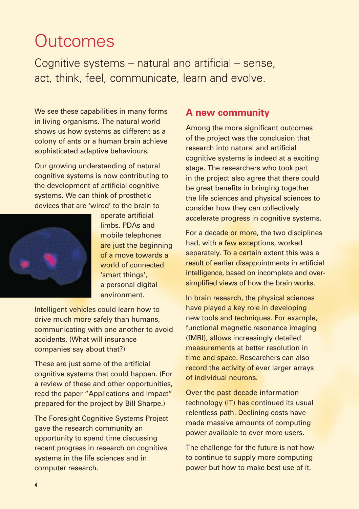## **Outcomes**

Cognitive systems – natural and artificial – sense, act, think, feel, communicate, learn and evolve.

We see these capabilities in many forms in living organisms. The natural world shows us how systems as different as a colony of ants or a human brain achieve sophisticated adaptive behaviours.

Our growing understanding of natural cognitive systems is now contributing to the development of artificial cognitive systems. We can think of prosthetic devices that are 'wired' to the brain to



operate artificial limbs. PDAs and mobile telephones are just the beginning of a move towards a world of connected 'smart things'. a personal digital environment.

Intelligent vehicles could learn how to drive much more safely than humans, communicating with one another to avoid accidents. (What will insurance companies say about that?)

These are just some of the artificial cognitive systems that could happen. (For a review of these and other opportunities, read the paper "Applications and Impact" prepared for the project by Bill Sharpe.)

The Foresight Cognitive Systems Project gave the research community an opportunity to spend time discussing recent progress in research on cognitive systems in the life sciences and in computer research.

#### **A new community**

Among the more significant outcomes of the project was the conclusion that research into natural and artificial cognitive systems is indeed at a exciting stage. The researchers who took part in the project also agree that there could be great benefits in bringing together the life sciences and physical sciences to consider how they can collectively accelerate progress in cognitive systems.

For a decade or more, the two disciplines had, with a few exceptions, worked separately. To a certain extent this was a result of earlier disappointments in artificial intelligence, based on incomplete and oversimplified views of how the brain works.

In brain research, the physical sciences have played a key role in developing new tools and techniques. For example, functional magnetic resonance imaging (fMRI), allows increasingly detailed measurements at better resolution in time and space. Researchers can also record the activity of ever larger arrays of individual neurons.

Over the past decade information technology (IT) has continued its usual relentless path. Declining costs have made massive amounts of computing power available to ever more users.

The challenge for the future is not how to continue to supply more computing power but how to make best use of it.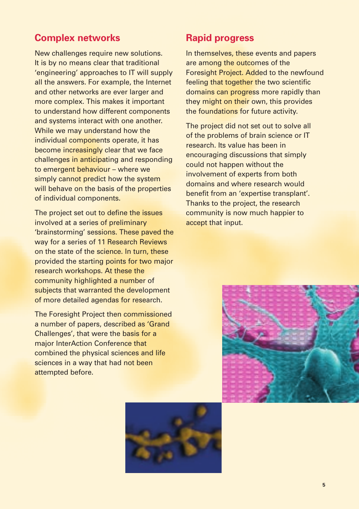#### **Complex networks**

New challenges require new solutions. It is by no means clear that traditional 'engineering' approaches to IT will supply all the answers. For example, the Internet and other networks are ever larger and more complex. This makes it important to understand how different components and systems interact with one another. While we may understand how the individual components operate, it has become increasingly clear that we face challenges in anticipating and responding to emergent behaviour – where we simply cannot predict how the system will behave on the basis of the properties of individual components.

The project set out to define the issues involved at a series of preliminary 'brainstorming' sessions. These paved the way for a series of 11 Research Reviews on the state of the science. In turn, these provided the starting points for two major research workshops. At these the community highlighted a number of subjects that warranted the development of more detailed agendas for research.

The Foresight Project then commissioned a number of papers, described as 'Grand Challenges', that were the basis for a major InterAction Conference that combined the physical sciences and life sciences in a way that had not been attempted before.

#### **Rapid progress**

In themselves, these events and papers are among the outcomes of the Foresight Project. Added to the newfound feeling that together the two scientific domains can progress more rapidly than they might on their own, this provides the foundations for future activity.

The project did not set out to solve all of the problems of brain science or IT research. Its value has been in encouraging discussions that simply could not happen without the involvement of experts from both domains and where research would benefit from an 'expertise transplant'. Thanks to the project, the research community is now much happier to accept that input.



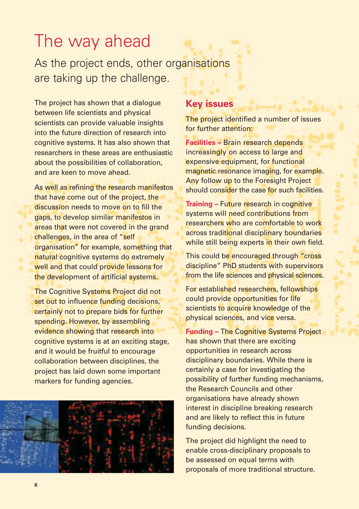### The way ahead

As the project ends, other organisations are taking up the challenge.

The project has shown that a dialogue between life scientists and physical scientists can provide valuable insights into the future direction of research into cognitive systems. It has also shown that researchers in these areas are enthusiastic about the possibilities of collaboration, and are keen to move ahead.

As well as refining the research manifestos that have come out of the project, the discussion needs to move on to fill the gaps, to develop similar manifestos in areas that were not covered in the grand challenges, in the area of "self organisation" for example, something that natural cognitive systems do extremely well and that could provide lessons for the development of artificial systems.

The Cognitive Systems Project did not set out to influence funding decisions, certainly not to prepare bids for further spending. However, by assembling evidence showing that research into cognitive systems is at an exciting stage, and it would be fruitful to encourage collaboration between disciplines, the project has laid down some important markers for funding agencies.



#### **Key issues**

The project identified a number of issues for further attention:

**Facilities –** Brain research depends increasingly on access to large and expensive equipment, for functional magnetic resonance imaging, for example. Any follow up to the Foresight Project should consider the case for such facilities.

**Training – Future research in cognitive** systems will need contributions from researchers who are comfortable to work across traditional disciplinary boundaries while still being experts in their own field.

This could be encouraged through "cross discipline" PhD students with supervisors from the life sciences and physical sciences.

For established researchers, fellowships could provide opportunities for life scientists to acquire knowledge of the physical sciences, and vice versa.

**Funding –** The Cognitive Systems Project has shown that there are exciting opportunities in research across disciplinary boundaries. While there is certainly a case for investigating the possibility of further funding mechanisms, the Research Councils and other organisations have already shown interest in discipline breaking research and are likely to reflect this in future funding decisions.

The project did highlight the need to enable cross-disciplinary proposals to be assessed on equal terms with proposals of more traditional structure.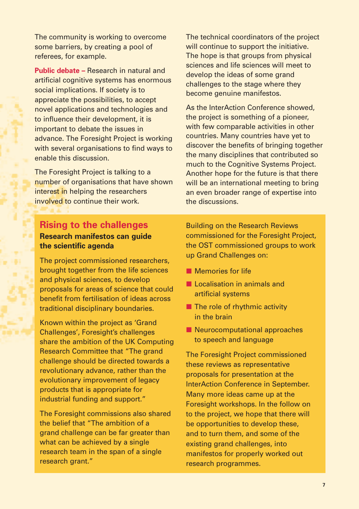The community is working to overcome some barriers, by creating a pool of referees, for example.

**Public debate –** Research in natural and artificial cognitive systems has enormous social implications. If society is to appreciate the possibilities, to accept novel applications and technologies and to influence their development, it is important to debate the issues in advance. The Foresight Project is working with several organisations to find ways to enable this discussion.

The Foresight Project is talking to a number of organisations that have shown interest in helping the researchers involved to continue their work.

The technical coordinators of the project will continue to support the initiative. The hope is that groups from physical sciences and life sciences will meet to develop the ideas of some grand challenges to the stage where they become genuine manifestos.

As the InterAction Conference showed, the project is something of a pioneer, with few comparable activities in other countries. Many countries have yet to discover the benefits of bringing together the many disciplines that contributed so much to the Cognitive Systems Project. Another hope for the future is that there will be an international meeting to bring an even broader range of expertise into the discussions.

#### **Rising to the challenges Research manifestos can guide the scientific agenda**

The project commissioned researchers, brought together from the life sciences and physical sciences, to develop proposals for areas of science that could benefit from fertilisation of ideas across traditional disciplinary boundaries.

Known within the project as 'Grand Challenges', Foresight's challenges share the ambition of the UK Computing Research Committee that "The grand challenge should be directed towards a revolutionary advance, rather than the evolutionary improvement of legacy products that is appropriate for industrial funding and support."

The Foresight commissions also shared the belief that "The ambition of a grand challenge can be far greater than what can be achieved by a single research team in the span of a single research grant."

Building on the Research Reviews commissioned for the Foresight Project, the OST commissioned groups to work up Grand Challenges on:

- **Nemories for life**
- **L** Localisation in animals and artificial systems
- **The role of rhythmic activity** in the brain
- **E** Neurocomputational approaches to speech and language

The Foresight Project commissioned these reviews as representative proposals for presentation at the InterAction Conference in September. Many more ideas came up at the Foresight workshops. In the follow on to the project, we hope that there will be opportunities to develop these, and to turn them, and some of the existing grand challenges, into manifestos for properly worked out research programmes.